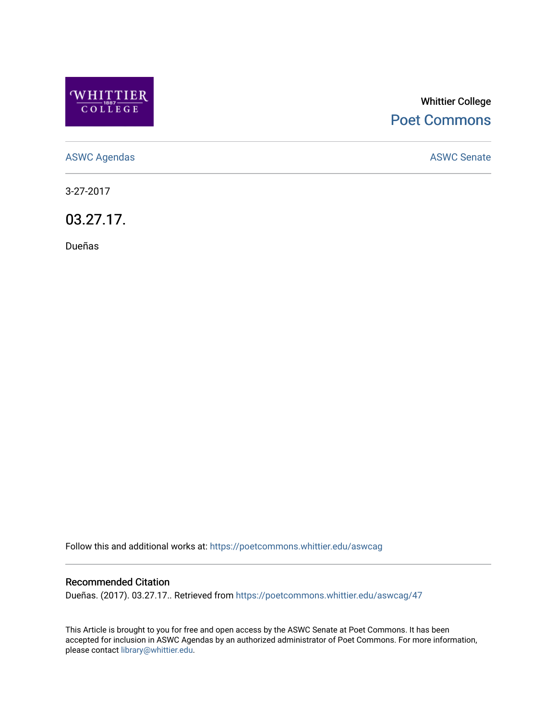

## Whittier College [Poet Commons](https://poetcommons.whittier.edu/)

[ASWC Agendas](https://poetcommons.whittier.edu/aswcag) **ASWC Senate** 

3-27-2017

03.27.17.

Dueñas

Follow this and additional works at: [https://poetcommons.whittier.edu/aswcag](https://poetcommons.whittier.edu/aswcag?utm_source=poetcommons.whittier.edu%2Faswcag%2F47&utm_medium=PDF&utm_campaign=PDFCoverPages) 

## Recommended Citation

Dueñas. (2017). 03.27.17.. Retrieved from [https://poetcommons.whittier.edu/aswcag/47](https://poetcommons.whittier.edu/aswcag/47?utm_source=poetcommons.whittier.edu%2Faswcag%2F47&utm_medium=PDF&utm_campaign=PDFCoverPages) 

This Article is brought to you for free and open access by the ASWC Senate at Poet Commons. It has been accepted for inclusion in ASWC Agendas by an authorized administrator of Poet Commons. For more information, please contact [library@whittier.edu](mailto:library@whittier.edu).